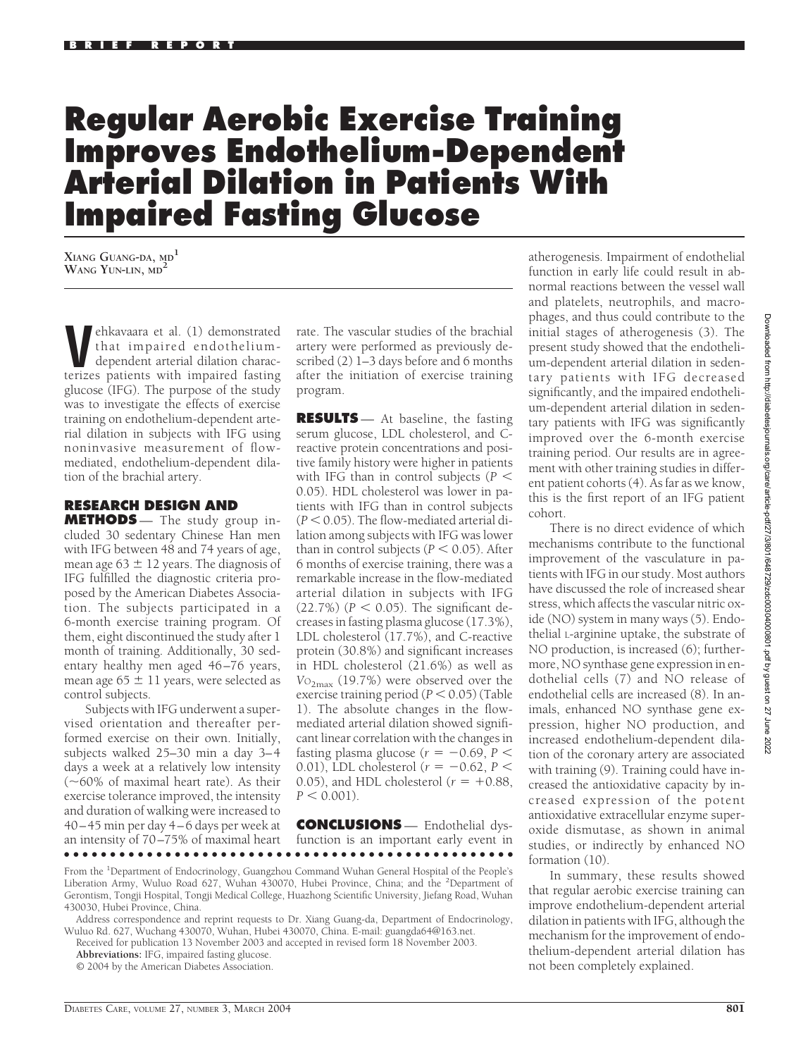## **Regular Aerobic Exercise Training Improves Endothelium-Dependent Arterial Dilation in Patients With Impaired Fasting Glucose**

**XIANG GUANG-DA, MD<sup>1</sup> WANG YUN-LIN, MD<sup>2</sup>**

**Vehkavaara et al.** (1) demonstrated<br>that impaired endothelium-<br>dependent arterial dilation charac-<br>terizes patients with impaired fasting that impaired endotheliumdependent arterial dilation characterizes patients with impaired fasting glucose (IFG). The purpose of the study was to investigate the effects of exercise training on endothelium-dependent arterial dilation in subjects with IFG using noninvasive measurement of flowmediated, endothelium-dependent dilation of the brachial artery.

## **RESEARCH DESIGN AND**

**METHODS** — The study group included 30 sedentary Chinese Han men with IFG between 48 and 74 years of age, mean age  $63 \pm 12$  years. The diagnosis of IFG fulfilled the diagnostic criteria proposed by the American Diabetes Association. The subjects participated in a 6-month exercise training program. Of them, eight discontinued the study after 1 month of training. Additionally, 30 sedentary healthy men aged 46–76 years, mean age  $65 \pm 11$  years, were selected as control subjects.

Subjects with IFG underwent a supervised orientation and thereafter performed exercise on their own. Initially, subjects walked 25–30 min a day 3–4 days a week at a relatively low intensity (-60% of maximal heart rate). As their exercise tolerance improved, the intensity and duration of walking were increased to 40–45 min per day 4–6 days per week at an intensity of 70–75% of maximal heart ●●●●●●●●●●●●●●●●●●●●●●●●●●●●●●●●●●●●●●●●●●●●●●●●●

rate. The vascular studies of the brachial artery were performed as previously described (2) 1–3 days before and 6 months after the initiation of exercise training program.

**RESULTS** — At baseline, the fasting serum glucose, LDL cholesterol, and Creactive protein concentrations and positive family history were higher in patients with IFG than in control subjects (*P* 0.05). HDL cholesterol was lower in patients with IFG than in control subjects  $(P < 0.05)$ . The flow-mediated arterial dilation among subjects with IFG was lower than in control subjects ( $P < 0.05$ ). After 6 months of exercise training, there was a remarkable increase in the flow-mediated arterial dilation in subjects with IFG  $(22.7%) (P < 0.05)$ . The significant decreases in fasting plasma glucose (17.3%), LDL cholesterol (17.7%), and C-reactive protein (30.8%) and significant increases in HDL cholesterol (21.6%) as well as *V*O2max (19.7%) were observed over the exercise training period  $(P < 0.05)$  (Table 1). The absolute changes in the flowmediated arterial dilation showed significant linear correlation with the changes in fasting plasma glucose  $(r = -0.69, P <$ 0.01), LDL cholesterol ( $r = -0.62$ ,  $P <$ 0.05), and HDL cholesterol  $(r = +0.88,$  $P < 0.001$ .

**CONCLUSIONS** — Endothelial dysfunction is an important early event in

Received for publication 13 November 2003 and accepted in revised form 18 November 2003.

© 2004 by the American Diabetes Association.

atherogenesis. Impairment of endothelial function in early life could result in abnormal reactions between the vessel wall and platelets, neutrophils, and macrophages, and thus could contribute to the initial stages of atherogenesis (3). The present study showed that the endothelium-dependent arterial dilation in sedentary patients with IFG decreased significantly, and the impaired endothelium-dependent arterial dilation in sedentary patients with IFG was significantly improved over the 6-month exercise training period. Our results are in agreement with other training studies in different patient cohorts (4). As far as we know, this is the first report of an IFG patient cohort.

There is no direct evidence of which mechanisms contribute to the functional improvement of the vasculature in patients with IFG in our study. Most authors have discussed the role of increased shear stress, which affects the vascular nitric oxide (NO) system in many ways (5). Endothelial L-arginine uptake, the substrate of NO production, is increased (6); furthermore, NO synthase gene expression in endothelial cells (7) and NO release of endothelial cells are increased (8). In animals, enhanced NO synthase gene expression, higher NO production, and increased endothelium-dependent dilation of the coronary artery are associated with training (9). Training could have increased the antioxidative capacity by increased expression of the potent antioxidative extracellular enzyme superoxide dismutase, as shown in animal studies, or indirectly by enhanced NO formation (10).

In summary, these results showed that regular aerobic exercise training can improve endothelium-dependent arterial dilation in patients with IFG, although the mechanism for the improvement of endothelium-dependent arterial dilation has not been completely explained.

From the <sup>1</sup>Department of Endocrinology, Guangzhou Command Wuhan General Hospital of the People's Liberation Army, Wuluo Road 627, Wuhan 430070, Hubei Province, China; and the <sup>2</sup>Department of Gerontism, Tongji Hospital, Tongji Medical College, Huazhong Scientific University, Jiefang Road, Wuhan 430030, Hubei Province, China.

Address correspondence and reprint requests to Dr. Xiang Guang-da, Department of Endocrinology, Wuluo Rd. 627, Wuchang 430070, Wuhan, Hubei 430070, China. E-mail: guangda64@163.net.

**Abbreviations:** IFG, impaired fasting glucose.